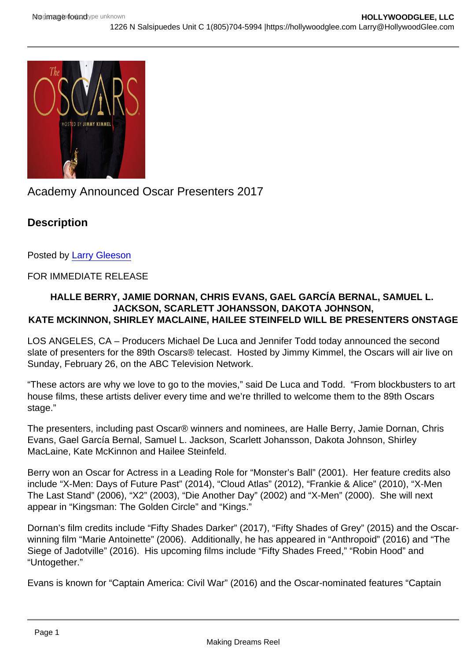# Academy Announced Oscar Presenters 2017

**Description** 

Posted by [Larry Gleeson](http://sbccfilmreviews.org/?s=Larry+Gleeson)

## FOR IMMEDIATE RELEASE

HALLE BERRY, JAMIE DORNAN, CHRIS EVANS, GAEL GARCÍA BERNAL , SAMUEL L. JACKSON, SCARLETT JOHANSSON, DAKOTA JOHNSON, KATE MCKINNON, SHIRLEY MACLAINE, HAILEE STEINFELD WILL BE PRESENTERS ONSTAGE

LOS ANGELES, CA – Producers Michael De Luca and Jennifer Todd today announced the second slate of presenters for the 89th Oscars® telecast. Hosted by Jimmy Kimmel, the Oscars will air live on Sunday, February 26, on the ABC Television Network.

"These actors are why we love to go to the movies," said De Luca and Todd. "From blockbusters to art house films, these artists deliver every time and we're thrilled to welcome them to the 89th Oscars stage."

The presenters, including past Oscar® winners and nominees, are Halle Berry, Jamie Dornan, Chris Evans, Gael García Bernal, Samuel L. Jackson, Scarlett Johansson, Dakota Johnson, Shirley MacLaine, Kate McKinnon and Hailee Steinfeld.

Berry won an Oscar for Actress in a Leading Role for "Monster's Ball" (2001). Her feature credits also include "X-Men: Days of Future Past" (2014), "Cloud Atlas" (2012), "Frankie & Alice" (2010), "X-Men The Last Stand" (2006), "X2" (2003), "Die Another Day" (2002) and "X-Men" (2000). She will next appear in "Kingsman: The Golden Circle" and "Kings."

Dornan's film credits include "Fifty Shades Darker" (2017), "Fifty Shades of Grey" (2015) and the Oscarwinning film "Marie Antoinette" (2006). Additionally, he has appeared in "Anthropoid" (2016) and "The Siege of Jadotville" (2016). His upcoming films include "Fifty Shades Freed," "Robin Hood" and "Untogether."

Evans is known for "Captain America: Civil War" (2016) and the Oscar-nominated features "Captain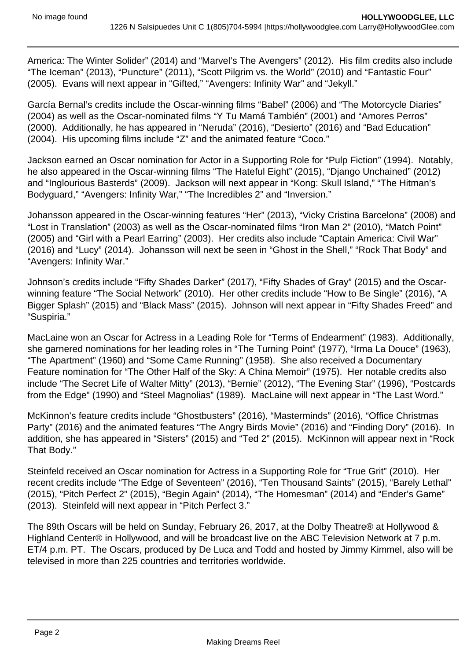America: The Winter Solider" (2014) and "Marvel's The Avengers" (2012). His film credits also include "The Iceman" (2013), "Puncture" (2011), "Scott Pilgrim vs. the World" (2010) and "Fantastic Four" (2005). Evans will next appear in "Gifted," "Avengers: Infinity War" and "Jekyll."

García Bernal's credits include the Oscar-winning films "Babel" (2006) and "The Motorcycle Diaries" (2004) as well as the Oscar-nominated films "Y Tu Mamá También" (2001) and "Amores Perros" (2000). Additionally, he has appeared in "Neruda" (2016), "Desierto" (2016) and "Bad Education" (2004). His upcoming films include "Z" and the animated feature "Coco."

Jackson earned an Oscar nomination for Actor in a Supporting Role for "Pulp Fiction" (1994). Notably, he also appeared in the Oscar-winning films "The Hateful Eight" (2015), "Django Unchained" (2012) and "Inglourious Basterds" (2009). Jackson will next appear in "Kong: Skull Island," "The Hitman's Bodyguard," "Avengers: Infinity War," "The Incredibles 2" and "Inversion."

Johansson appeared in the Oscar-winning features "Her" (2013), "Vicky Cristina Barcelona" (2008) and "Lost in Translation" (2003) as well as the Oscar-nominated films "Iron Man 2" (2010), "Match Point" (2005) and "Girl with a Pearl Earring" (2003). Her credits also include "Captain America: Civil War" (2016) and "Lucy" (2014). Johansson will next be seen in "Ghost in the Shell," "Rock That Body" and "Avengers: Infinity War."

Johnson's credits include "Fifty Shades Darker" (2017), "Fifty Shades of Gray" (2015) and the Oscarwinning feature "The Social Network" (2010). Her other credits include "How to Be Single" (2016), "A Bigger Splash" (2015) and "Black Mass" (2015). Johnson will next appear in "Fifty Shades Freed" and "Suspiria."

MacLaine won an Oscar for Actress in a Leading Role for "Terms of Endearment" (1983). Additionally, she garnered nominations for her leading roles in "The Turning Point" (1977), "Irma La Douce" (1963), "The Apartment" (1960) and "Some Came Running" (1958). She also received a Documentary Feature nomination for "The Other Half of the Sky: A China Memoir" (1975). Her notable credits also include "The Secret Life of Walter Mitty" (2013), "Bernie" (2012), "The Evening Star" (1996), "Postcards from the Edge" (1990) and "Steel Magnolias" (1989). MacLaine will next appear in "The Last Word."

McKinnon's feature credits include "Ghostbusters" (2016), "Masterminds" (2016), "Office Christmas Party" (2016) and the animated features "The Angry Birds Movie" (2016) and "Finding Dory" (2016). In addition, she has appeared in "Sisters" (2015) and "Ted 2" (2015). McKinnon will appear next in "Rock That Body."

Steinfeld received an Oscar nomination for Actress in a Supporting Role for "True Grit" (2010). Her recent credits include "The Edge of Seventeen" (2016), "Ten Thousand Saints" (2015), "Barely Lethal" (2015), "Pitch Perfect 2" (2015), "Begin Again" (2014), "The Homesman" (2014) and "Ender's Game" (2013). Steinfeld will next appear in "Pitch Perfect 3."

The 89th Oscars will be held on Sunday, February 26, 2017, at the Dolby Theatre® at Hollywood & Highland Center® in Hollywood, and will be broadcast live on the ABC Television Network at 7 p.m. ET/4 p.m. PT. The Oscars, produced by De Luca and Todd and hosted by Jimmy Kimmel, also will be televised in more than 225 countries and territories worldwide.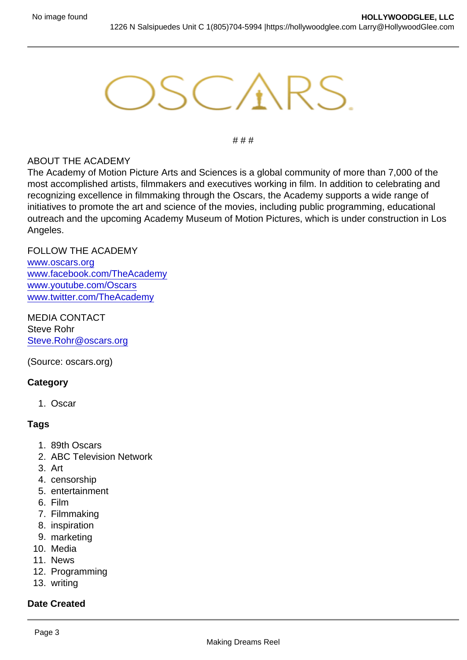# # #

### ABOUT THE ACADEMY

The Academy of Motion Picture Arts and Sciences is a global community of more than 7,000 of the most accomplished artists, filmmakers and executives working in film. In addition to celebrating and recognizing excellence in filmmaking through the Oscars, the Academy supports a wide range of initiatives to promote the art and science of the movies, including public programming, educational outreach and the upcoming Academy Museum of Motion Pictures, which is under construction in Los Angeles.

#### FOLLOW THE ACADEMY

[www.oscars.org](http://cepublic.oscars.org//ct.asp?id=3AD0401F9B3CC4529ABFBB58778E2301C3ED3CEB766161F3A0C6A73E9F8B517E923CEEF2C68BB84AAA782E7215C41E742ECA14EDA4FA7DA40F9D571DBE1C2271&ct=4aeUsxYAAABCWmgzMUFZJlNZHhcEoQAABJmAAAGAECjA3IAgACIhgTPUIBoAsaXuoxqQMfygk6LuSKcKEgPC4JQg) [www.facebook.com/TheAcademy](http://cepublic.oscars.org//ct.asp?id=9BE8BC7997151BB13E61E052497C10A151FBCB9A4DF647ACC49AECF18F2B238CB6C73E662D9F660949377621571D4D773EF52DC2013B741F1EECC4A484461101&ct=4aeUsyIAAABCWmgzMUFZJlNZeJzNIQAACh+AAAGAECAABAA/SsSgIAAxTJiZBkYRNGQ0YmIsk5w13bHF6Pj8T1IIOZoEkHj4u5IpwoSDxOZpCA==) [www.youtube.com/Oscars](http://cepublic.oscars.org//ct.asp?id=033D71117CEC33382B06E68DABFAB8A59FA0AFD555AC2120D4B6DE3294AE0482BABF47F4F126850DCF1DD1961DF72A5B66F1D42D4FFBED926F53B0AEB8C07DE5&ct=4aeUsx0AAABCWmgzMUFZJlNZg+9TtQAABh2AAAGAEAAAukLeoCAAMU0yMTExCjRoNMnpqanDK9mkcdPKSAbnqbmkR8XckU4UJCD71O1A) [www.twitter.com/TheAcademy](http://cepublic.oscars.org//ct.asp?id=EA7ADE33E91EA51BEC6A1CE339DF9317C390F94DD750CB784CDCD4D334FF9EAAD2F49CB7F9DA3C80C7A1A5F4D0420FF26E0FA09CDE0A82DB002FB7EA0D37600C&ct=4aeUsyEAAABCWmgzMUFZJlNZYWx2sQAAB5mAAAGAEC5i1KAgADFMABNCnqMh6nomkeZPPSSEvWqKJfAQorjB5+LuSKcKEgwtjtYg)

MEDIA CONTACT Steve Rohr [Steve.Rohr@oscars.org](http://cepublic.oscars.org//ct.asp?id=EDA16DACF29FB2E50B1992300BE9F8D450BA3A9B7EE89C029B17236DB42EC0D3F139CD44D07329D5100B931C4325A6C38D22D956FCE12954511B3C999F6B6CA3&ct=4aeUsxwAAABCWmgzMUFZJlNZqI6u8QAAB5+AAAEAEEAAGAAq5p0AIAAigaZBmmoU0yMTExFEDKDuiVZ5CR6JZt3kn4u5IpwoSFRHV3iA)

(Source: oscars.org)

### **Category**

1. Oscar

Tags

- 1. 89th Oscars
- 2. ABC Television Network
- 3. Art
- 4. censorship
- 5. entertainment
- 6. Film
- 7. Filmmaking
- 8. inspiration
- 9. marketing
- 10. Media
- 11. News
- 12. Programming
- 13. writing

Date Created